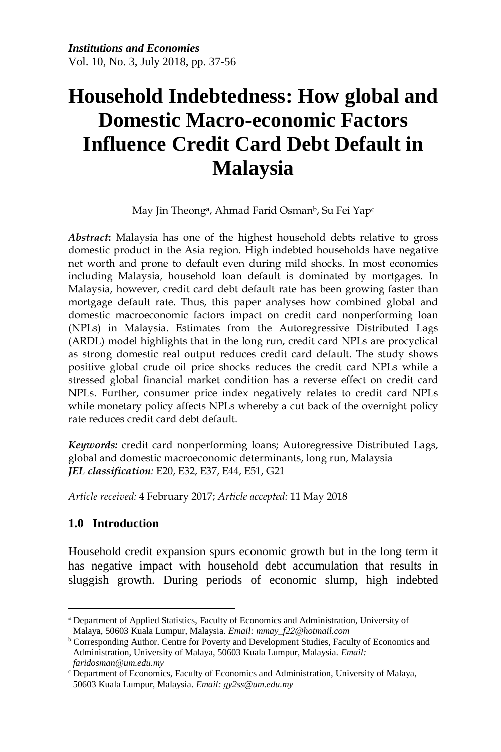# **Household Indebtedness: How global and Domestic Macro-economic Factors Influence Credit Card Debt Default in Malaysia**

May Jin Theong<sup>a</sup>, Ahmad Farid Osman<sup>b</sup>, Su Fei Yap<sup>c</sup>

*Abstract***:** Malaysia has one of the highest household debts relative to gross domestic product in the Asia region. High indebted households have negative net worth and prone to default even during mild shocks. In most economies including Malaysia, household loan default is dominated by mortgages. In Malaysia, however, credit card debt default rate has been growing faster than mortgage default rate. Thus, this paper analyses how combined global and domestic macroeconomic factors impact on credit card nonperforming loan (NPLs) in Malaysia. Estimates from the Autoregressive Distributed Lags (ARDL) model highlights that in the long run, credit card NPLs are procyclical as strong domestic real output reduces credit card default. The study shows positive global crude oil price shocks reduces the credit card NPLs while a stressed global financial market condition has a reverse effect on credit card NPLs. Further, consumer price index negatively relates to credit card NPLs while monetary policy affects NPLs whereby a cut back of the overnight policy rate reduces credit card debt default.

*Keywords:* credit card nonperforming loans; Autoregressive Distributed Lags, global and domestic macroeconomic determinants, long run, Malaysia *JEL classification:* E20, E32, E37, E44, E51, G21

*Article received:* 4 February 2017; *Article accepted:* 11 May 2018

# **1.0 Introduction**

Household credit expansion spurs economic growth but in the long term it has negative impact with household debt accumulation that results in sluggish growth. During periods of economic slump, high indebted

 $\overline{a}$ <sup>a</sup> Department of Applied Statistics, Faculty of Economics and Administration, University of Malaya, 50603 Kuala Lumpur, Malaysia. *Email: mmay\_f22@hotmail.com*

**b** Corresponding Author. Centre for Poverty and Development Studies, Faculty of Economics and Administration, University of Malaya, 50603 Kuala Lumpur, Malaysia. *Email: faridosman@um.edu.my*

<sup>c</sup> Department of Economics, Faculty of Economics and Administration, University of Malaya, 50603 Kuala Lumpur, Malaysia. *Email: gy2ss@um.edu.my*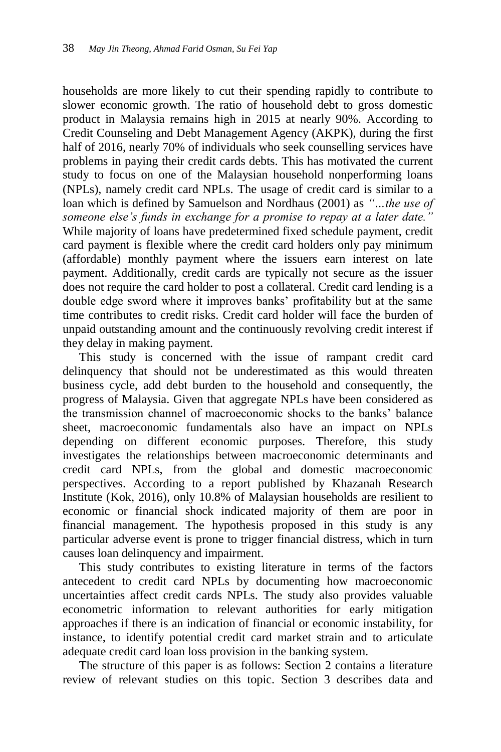households are more likely to cut their spending rapidly to contribute to slower economic growth. The ratio of household debt to gross domestic product in Malaysia remains high in 2015 at nearly 90%. According to Credit Counseling and Debt Management Agency (AKPK), during the first half of 2016, nearly 70% of individuals who seek counselling services have problems in paying their credit cards debts. This has motivated the current study to focus on one of the Malaysian household nonperforming loans (NPLs), namely credit card NPLs. The usage of credit card is similar to a loan which is defined by Samuelson and Nordhaus (2001) as *"…the use of someone else's funds in exchange for a promise to repay at a later date."* While majority of loans have predetermined fixed schedule payment, credit card payment is flexible where the credit card holders only pay minimum (affordable) monthly payment where the issuers earn interest on late payment. Additionally, credit cards are typically not secure as the issuer does not require the card holder to post a collateral. Credit card lending is a double edge sword where it improves banks' profitability but at the same time contributes to credit risks. Credit card holder will face the burden of unpaid outstanding amount and the continuously revolving credit interest if they delay in making payment.

This study is concerned with the issue of rampant credit card delinquency that should not be underestimated as this would threaten business cycle, add debt burden to the household and consequently, the progress of Malaysia. Given that aggregate NPLs have been considered as the transmission channel of macroeconomic shocks to the banks' balance sheet, macroeconomic fundamentals also have an impact on NPLs depending on different economic purposes. Therefore, this study investigates the relationships between macroeconomic determinants and credit card NPLs, from the global and domestic macroeconomic perspectives. According to a report published by Khazanah Research Institute (Kok, 2016), only 10.8% of Malaysian households are resilient to economic or financial shock indicated majority of them are poor in financial management. The hypothesis proposed in this study is any particular adverse event is prone to trigger financial distress, which in turn causes loan delinquency and impairment.

This study contributes to existing literature in terms of the factors antecedent to credit card NPLs by documenting how macroeconomic uncertainties affect credit cards NPLs. The study also provides valuable econometric information to relevant authorities for early mitigation approaches if there is an indication of financial or economic instability, for instance, to identify potential credit card market strain and to articulate adequate credit card loan loss provision in the banking system.

The structure of this paper is as follows: Section 2 contains a literature review of relevant studies on this topic. Section 3 describes data and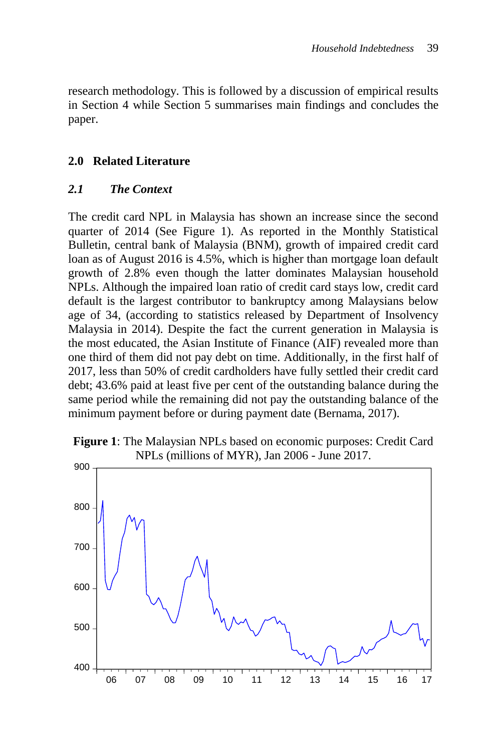research methodology. This is followed by a discussion of empirical results in Section 4 while Section 5 summarises main findings and concludes the paper.

# **2.0 Related Literature**

### *2.1 The Context*

The credit card NPL in Malaysia has shown an increase since the second quarter of 2014 (See Figure 1). As reported in the Monthly Statistical Bulletin, central bank of Malaysia (BNM), growth of impaired credit card loan as of August 2016 is 4.5%, which is higher than mortgage loan default growth of 2.8% even though the latter dominates Malaysian household NPLs. Although the impaired loan ratio of credit card stays low, credit card default is the largest contributor to bankruptcy among Malaysians below age of 34, (according to statistics released by Department of Insolvency Malaysia in 2014). Despite the fact the current generation in Malaysia is the most educated, the Asian Institute of Finance (AIF) revealed more than one third of them did not pay debt on time. Additionally, in the first half of 2017, less than 50% of credit cardholders have fully settled their credit card debt; 43.6% paid at least five per cent of the outstanding balance during the same period while the remaining did not pay the outstanding balance of the minimum payment before or during payment date (Bernama, 2017).



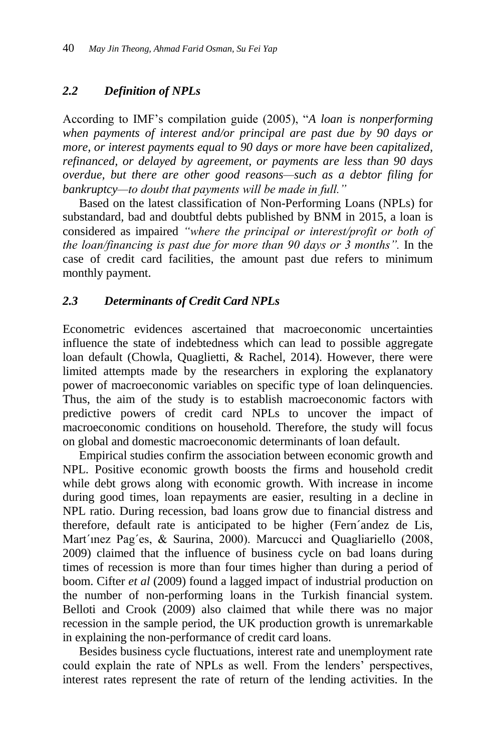# *2.2 Definition of NPLs*

According to IMF's compilation guide (2005), "*A loan is nonperforming when payments of interest and/or principal are past due by 90 days or more, or interest payments equal to 90 days or more have been capitalized, refinanced, or delayed by agreement, or payments are less than 90 days overdue, but there are other good reasons—such as a debtor filing for bankruptcy—to doubt that payments will be made in full."*

Based on the latest classification of Non-Performing Loans (NPLs) for substandard, bad and doubtful debts published by BNM in 2015, a loan is considered as impaired *"where the principal or interest/profit or both of the loan/financing is past due for more than 90 days or 3 months".* In the case of credit card facilities, the amount past due refers to minimum monthly payment.

# *2.3 Determinants of Credit Card NPLs*

Econometric evidences ascertained that macroeconomic uncertainties influence the state of indebtedness which can lead to possible aggregate loan default (Chowla, Quaglietti, & Rachel, 2014). However, there were limited attempts made by the researchers in exploring the explanatory power of macroeconomic variables on specific type of loan delinquencies. Thus, the aim of the study is to establish macroeconomic factors with predictive powers of credit card NPLs to uncover the impact of macroeconomic conditions on household. Therefore, the study will focus on global and domestic macroeconomic determinants of loan default.

Empirical studies confirm the association between economic growth and NPL. Positive economic growth boosts the firms and household credit while debt grows along with economic growth. With increase in income during good times, loan repayments are easier, resulting in a decline in NPL ratio. During recession, bad loans grow due to financial distress and therefore, default rate is anticipated to be higher (Fern´andez de Lis, Mart'inez Pag'es, & Saurina, 2000). Marcucci and Quagliariello (2008, 2009) claimed that the influence of business cycle on bad loans during times of recession is more than four times higher than during a period of boom. Cifter *et al* (2009) found a lagged impact of industrial production on the number of non-performing loans in the Turkish financial system. Belloti and Crook (2009) also claimed that while there was no major recession in the sample period, the UK production growth is unremarkable in explaining the non-performance of credit card loans.

Besides business cycle fluctuations, interest rate and unemployment rate could explain the rate of NPLs as well. From the lenders' perspectives, interest rates represent the rate of return of the lending activities. In the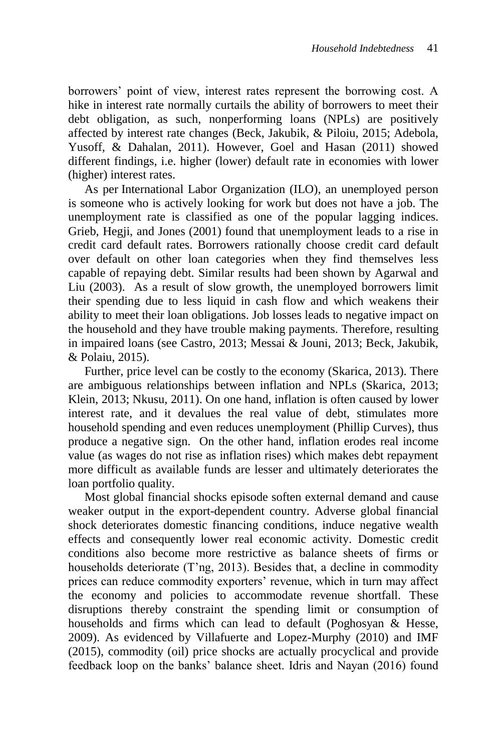borrowers' point of view, interest rates represent the borrowing cost. A hike in interest rate normally curtails the ability of borrowers to meet their debt obligation, as such, nonperforming loans (NPLs) are positively affected by interest rate changes (Beck, Jakubik, & Piloiu, 2015; Adebola, Yusoff, & Dahalan, 2011). However, Goel and Hasan (2011) showed different findings, i.e. higher (lower) default rate in economies with lower (higher) interest rates.

As per International Labor Organization (ILO), an unemployed person is someone who is actively looking for work but does not have a job. The unemployment rate is classified as one of the popular lagging indices. Grieb, Hegji, and Jones (2001) found that unemployment leads to a rise in credit card default rates. Borrowers rationally choose credit card default over default on other loan categories when they find themselves less capable of repaying debt. Similar results had been shown by Agarwal and Liu (2003). As a result of slow growth, the unemployed borrowers limit their spending due to less liquid in cash flow and which weakens their ability to meet their loan obligations. Job losses leads to negative impact on the household and they have trouble making payments. Therefore, resulting in impaired loans (see Castro, 2013; Messai & Jouni, 2013; Beck, Jakubik, & Polaiu, 2015).

Further, price level can be costly to the economy (Skarica, 2013). There are ambiguous relationships between inflation and NPLs (Skarica, 2013; Klein, 2013; Nkusu, 2011). On one hand, inflation is often caused by lower interest rate, and it devalues the real value of debt, stimulates more household spending and even reduces unemployment (Phillip Curves), thus produce a negative sign. On the other hand, inflation erodes real income value (as wages do not rise as inflation rises) which makes debt repayment more difficult as available funds are lesser and ultimately deteriorates the loan portfolio quality.

Most global financial shocks episode soften external demand and cause weaker output in the export-dependent country. Adverse global financial shock deteriorates domestic financing conditions, induce negative wealth effects and consequently lower real economic activity. Domestic credit conditions also become more restrictive as balance sheets of firms or households deteriorate (T'ng, 2013). Besides that, a decline in commodity prices can reduce commodity exporters' revenue, which in turn may affect the economy and policies to accommodate revenue shortfall. These disruptions thereby constraint the spending limit or consumption of households and firms which can lead to default (Poghosyan & Hesse, 2009). As evidenced by Villafuerte and Lopez-Murphy (2010) and IMF (2015), commodity (oil) price shocks are actually procyclical and provide feedback loop on the banks' balance sheet. Idris and Nayan (2016) found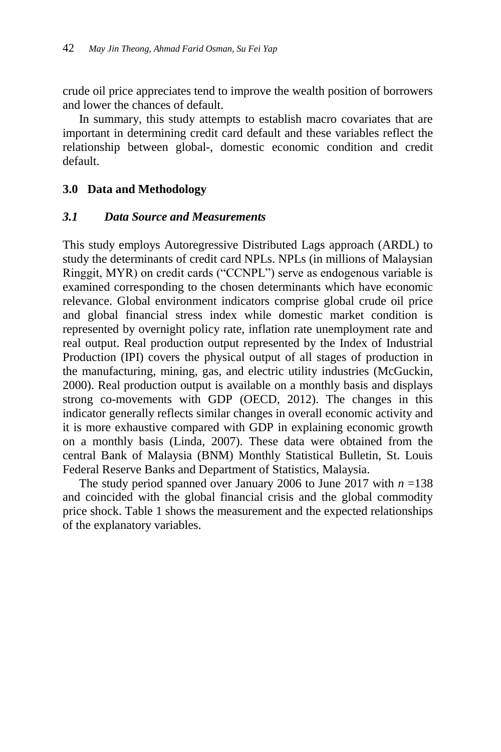crude oil price appreciates tend to improve the wealth position of borrowers and lower the chances of default.

In summary, this study attempts to establish macro covariates that are important in determining credit card default and these variables reflect the relationship between global-, domestic economic condition and credit default.

# **3.0 Data and Methodology**

#### *3.1 Data Source and Measurements*

This study employs Autoregressive Distributed Lags approach (ARDL) to study the determinants of credit card NPLs. NPLs (in millions of Malaysian Ringgit, MYR) on credit cards ("CCNPL") serve as endogenous variable is examined corresponding to the chosen determinants which have economic relevance. Global environment indicators comprise global crude oil price and global financial stress index while domestic market condition is represented by overnight policy rate, inflation rate unemployment rate and real output. Real production output represented by the Index of Industrial Production (IPI) covers the physical output of all stages of production in the manufacturing, mining, gas, and electric utility industries (McGuckin, 2000). Real production output is available on a monthly basis and displays strong co-movements with GDP (OECD, 2012). The changes in this indicator generally reflects similar changes in overall economic activity and it is more exhaustive compared with GDP in explaining economic growth on a monthly basis (Linda, 2007). These data were obtained from the central Bank of Malaysia (BNM) Monthly Statistical Bulletin, St. Louis Federal Reserve Banks and Department of Statistics, Malaysia.

The study period spanned over January 2006 to June 2017 with *n* =138 and coincided with the global financial crisis and the global commodity price shock. Table 1 shows the measurement and the expected relationships of the explanatory variables.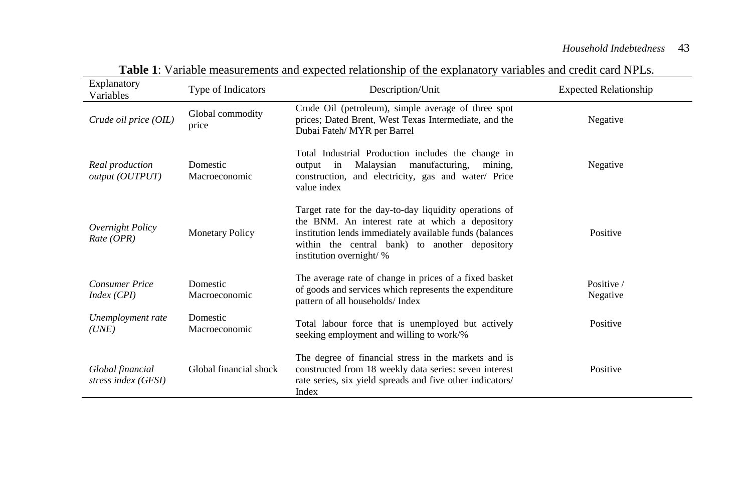| Explanatory<br>Variables                | Type of Indicators        | Description/Unit                                                                                                                                                                                                                                   | <b>Expected Relationship</b> |
|-----------------------------------------|---------------------------|----------------------------------------------------------------------------------------------------------------------------------------------------------------------------------------------------------------------------------------------------|------------------------------|
| Crude oil price (OIL)                   | Global commodity<br>price | Crude Oil (petroleum), simple average of three spot<br>prices; Dated Brent, West Texas Intermediate, and the<br>Dubai Fateh/MYR per Barrel                                                                                                         | Negative                     |
| Real production<br>output (OUTPUT)      | Domestic<br>Macroeconomic | Total Industrial Production includes the change in<br>Malaysian<br>manufacturing.<br>mining.<br>output<br>in<br>construction, and electricity, gas and water/ Price<br>value index                                                                 | Negative                     |
| Overnight Policy<br>Rate (OPR)          | <b>Monetary Policy</b>    | Target rate for the day-to-day liquidity operations of<br>the BNM. An interest rate at which a depository<br>institution lends immediately available funds (balances<br>within the central bank) to another depository<br>institution overnight/ % | Positive                     |
| <b>Consumer Price</b><br>Index (CPI)    | Domestic<br>Macroeconomic | The average rate of change in prices of a fixed basket<br>of goods and services which represents the expenditure<br>pattern of all households/Index                                                                                                | Positive /<br>Negative       |
| Unemployment rate<br>(UNE)              | Domestic<br>Macroeconomic | Total labour force that is unemployed but actively<br>seeking employment and willing to work/%                                                                                                                                                     | Positive                     |
| Global financial<br>stress index (GFSI) | Global financial shock    | The degree of financial stress in the markets and is<br>constructed from 18 weekly data series: seven interest<br>rate series, six yield spreads and five other indicators/<br>Index                                                               | Positive                     |

**Table 1**: Variable measurements and expected relationship of the explanatory variables and credit card NPLs.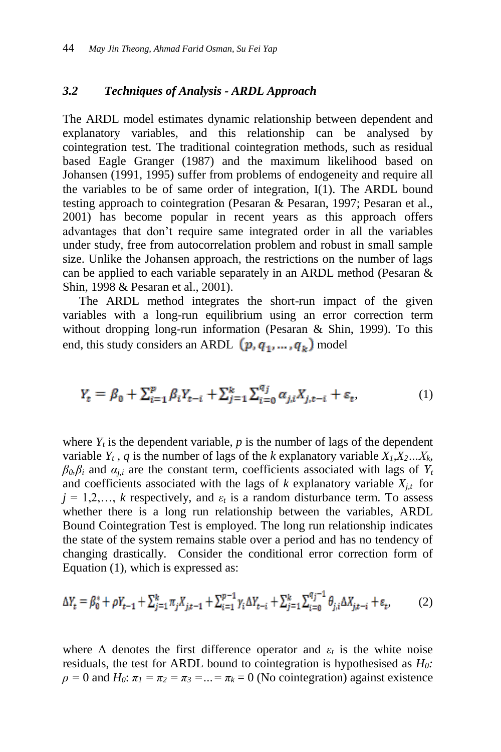# *3.2 Techniques of Analysis - ARDL Approach*

The ARDL model estimates dynamic relationship between dependent and explanatory variables, and this relationship can be analysed by cointegration test. The traditional cointegration methods, such as residual based Eagle Granger (1987) and the maximum likelihood based on Johansen (1991, 1995) suffer from problems of endogeneity and require all the variables to be of same order of integration, I(1). The ARDL bound testing approach to cointegration (Pesaran & Pesaran, 1997; Pesaran et al., 2001) has become popular in recent years as this approach offers advantages that don't require same integrated order in all the variables under study, free from autocorrelation problem and robust in small sample size. Unlike the Johansen approach, the restrictions on the number of lags can be applied to each variable separately in an ARDL method (Pesaran & Shin, 1998 & Pesaran et al., 2001).

The ARDL method integrates the short-run impact of the given variables with a long-run equilibrium using an error correction term without dropping long-run information (Pesaran & Shin, 1999). To this end, this study considers an ARDL  $(p, q_1, ..., q_k)$  model

$$
Y_t = \beta_0 + \sum_{i=1}^p \beta_i Y_{t-i} + \sum_{j=1}^k \sum_{i=0}^{q_j} \alpha_{j,i} X_{j,t-i} + \varepsilon_t,
$$
 (1)

where  $Y_t$  is the dependent variable,  $p$  is the number of lags of the dependent variable  $Y_t$ ,  $q$  is the number of lags of the  $k$  explanatory variable  $X_t, X_2, \ldots, X_k$ ,  $\beta_0$ *β*<sup>*i*</sup> and  $\alpha_{i,i}$  are the constant term, coefficients associated with lags of  $Y_t$ and coefficients associated with the lags of  $k$  explanatory variable  $X_{j,t}$  for  $j = 1, 2, \ldots, k$  respectively, and  $\varepsilon_t$  is a random disturbance term. To assess whether there is a long run relationship between the variables, ARDL Bound Cointegration Test is employed. The long run relationship indicates the state of the system remains stable over a period and has no tendency of changing drastically. Consider the conditional error correction form of Equation (1), which is expressed as:

$$
\Delta Y_t = \beta_0^* + \rho Y_{t-1} + \sum_{j=1}^k \pi_j X_{j,t-1} + \sum_{i=1}^{p-1} \gamma_i \Delta Y_{t-i} + \sum_{j=1}^k \sum_{i=0}^{q_j - 1} \theta_{j,i} \Delta X_{j,t-i} + \varepsilon_t,
$$
 (2)

where  $\Delta$  denotes the first difference operator and  $\varepsilon_t$  is the white noise residuals, the test for ARDL bound to cointegration is hypothesised as *H0:*   $\rho = 0$  and  $H_0$ :  $\pi_1 = \pi_2 = \pi_3 = ... = \pi_k = 0$  (No cointegration) against existence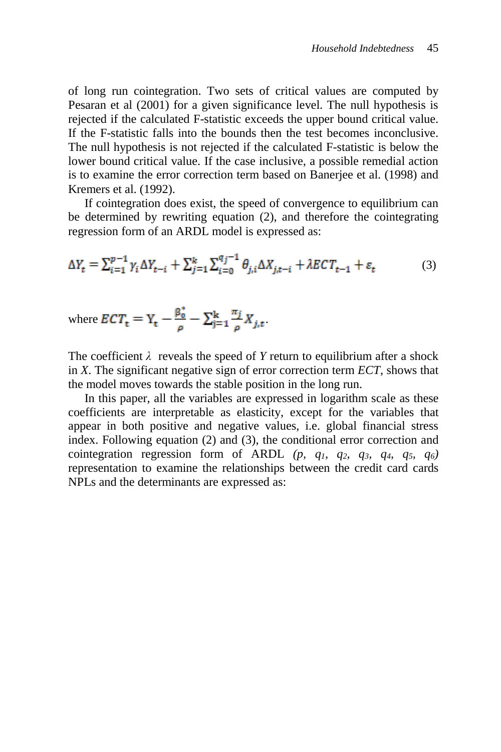of long run cointegration. Two sets of critical values are computed by Pesaran et al (2001) for a given significance level. The null hypothesis is rejected if the calculated F-statistic exceeds the upper bound critical value. If the F-statistic falls into the bounds then the test becomes inconclusive. The null hypothesis is not rejected if the calculated F-statistic is below the lower bound critical value. If the case inclusive, a possible remedial action is to examine the error correction term based on Banerjee et al. (1998) and Kremers et al. (1992).

If cointegration does exist, the speed of convergence to equilibrium can be determined by rewriting equation (2), and therefore the cointegrating regression form of an ARDL model is expressed as:

$$
\Delta Y_t = \sum_{i=1}^{p-1} \gamma_i \Delta Y_{t-i} + \sum_{j=1}^k \sum_{i=0}^{q_j - 1} \theta_{j,i} \Delta X_{j,t-i} + \lambda E C T_{t-1} + \varepsilon_t
$$
(3)

where 
$$
ECT_{t} = Y_{t} - \frac{\beta_{0}^{*}}{\rho} - \sum_{j=1}^{k} \frac{\pi_{j}}{\rho} X_{j,t}
$$

The coefficient  $\lambda$  reveals the speed of *Y* return to equilibrium after a shock in *X*. The significant negative sign of error correction term *ECT*, shows that the model moves towards the stable position in the long run.

In this paper, all the variables are expressed in logarithm scale as these coefficients are interpretable as elasticity, except for the variables that appear in both positive and negative values, i.e. global financial stress index. Following equation (2) and (3), the conditional error correction and cointegration regression form of ARDL  $(p, q_1, q_2, q_3, q_4, q_5, q_6)$ representation to examine the relationships between the credit card cards NPLs and the determinants are expressed as: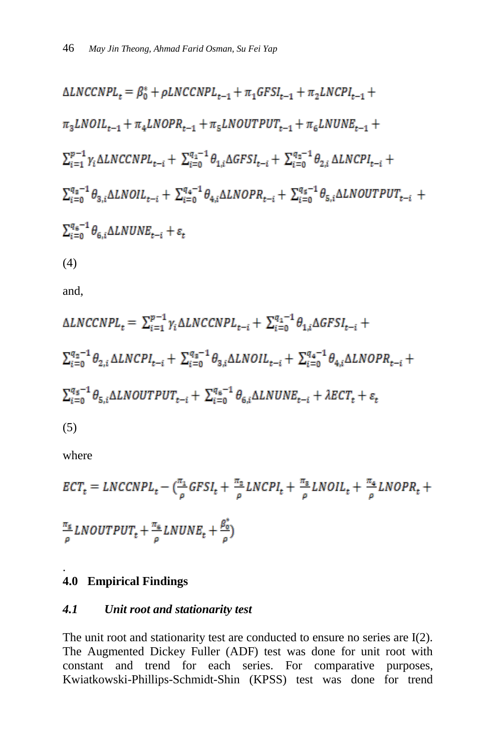$$
\Delta LNCCNPL_{t} = \beta_{0}^{*} + \rho LNCCNPL_{t-1} + \pi_{1}GFSI_{t-1} + \pi_{2}LNCPI_{t-1} +
$$
  
\n
$$
\pi_{3}LNOIL_{t-1} + \pi_{4}LNOPR_{t-1} + \pi_{5}LNOUTPUT_{t-1} + \pi_{6}LNUNE_{t-1} +
$$
  
\n
$$
\sum_{i=1}^{p-1} \gamma_{i} \Delta LNCCNPL_{t-i} + \sum_{i=0}^{q_{1}-1} \theta_{1,i} \Delta GFSI_{t-i} + \sum_{i=0}^{q_{2}-1} \theta_{2,i} \Delta LNCPI_{t-i} +
$$
  
\n
$$
\sum_{i=0}^{q_{3}-1} \theta_{3,i} \Delta LNOIL_{t-i} + \sum_{i=0}^{q_{4}-1} \theta_{4,i} \Delta LNOPR_{t-i} + \sum_{i=0}^{q_{5}-1} \theta_{5,i} \Delta LNOUTPUT_{t-i} +
$$
  
\n
$$
\sum_{i=0}^{q_{6}-1} \theta_{6,i} \Delta LNUNE_{t-i} + \varepsilon_{t}
$$
  
\n(4)

and,

$$
\Delta LNCCNPL_{t} = \sum_{i=1}^{p-1} \gamma_{i} \Delta LNCCNPL_{t-i} + \sum_{i=0}^{q_{1}-1} \theta_{1,i} \Delta GFSI_{t-i} +
$$
  
\n
$$
\sum_{i=0}^{q_{2}-1} \theta_{2,i} \Delta LNCPI_{t-i} + \sum_{i=0}^{q_{3}-1} \theta_{3,i} \Delta LNOIL_{t-i} + \sum_{i=0}^{q_{4}-1} \theta_{4,i} \Delta LNOPR_{t-i} +
$$
  
\n
$$
\sum_{i=0}^{q_{5}-1} \theta_{5,i} \Delta LNOUTPUT_{t-i} + \sum_{i=0}^{q_{6}-1} \theta_{6,i} \Delta LNUNE_{t-i} + \lambda ECT_{t} + \varepsilon_{t}
$$
  
\n(5)

where

$$
ECTt = LNCCNPLt - (\frac{\pi_1}{\rho} GFSIt + \frac{\pi_2}{\rho} LNCPIt + \frac{\pi_3}{\rho} LNOILt + \frac{\pi_4}{\rho} LNOPRt +
$$
  

$$
\frac{\pi_5}{\rho} LNOUTPUTt + \frac{\pi_6}{\rho} LNUNEt + \frac{\beta_0^*}{\rho})
$$

#### . **4.0 Empirical Findings**

# *4.1 Unit root and stationarity test*

The unit root and stationarity test are conducted to ensure no series are I(2). The Augmented Dickey Fuller (ADF) test was done for unit root with constant and trend for each series. For comparative purposes, Kwiatkowski-Phillips-Schmidt-Shin (KPSS) test was done for trend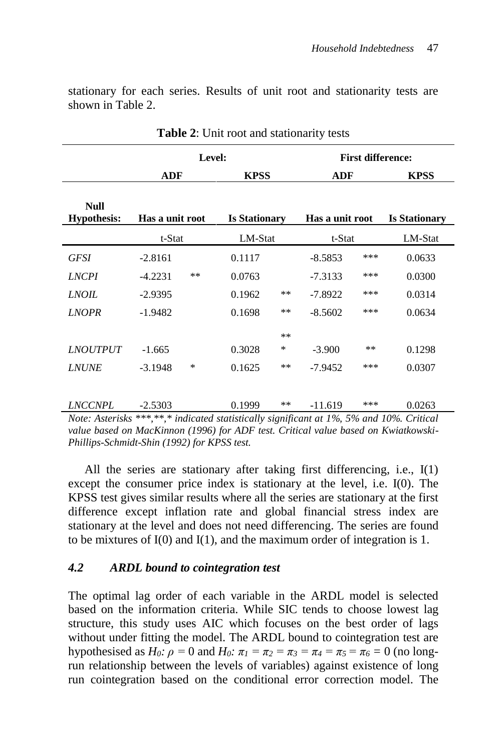stationary for each series. Results of unit root and stationarity tests are shown in Table 2.

|                                   | Level:          |    |                      | <b>First difference:</b> |                 |       |                      |
|-----------------------------------|-----------------|----|----------------------|--------------------------|-----------------|-------|----------------------|
|                                   | ADF             |    | <b>KPSS</b>          |                          | <b>ADF</b>      |       | <b>KPSS</b>          |
| <b>Null</b><br><b>Hypothesis:</b> | Has a unit root |    | <b>Is Stationary</b> |                          | Has a unit root |       | <b>Is Stationary</b> |
|                                   | t-Stat          |    | LM-Stat              |                          | t-Stat          |       | LM-Stat              |
| <b>GFSI</b>                       | $-2.8161$       |    | 0.1117               |                          | $-8.5853$       | ***   | 0.0633               |
| <b>LNCPI</b>                      | $-4.2231$       | ** | 0.0763               |                          | $-7.3133$       | ***   | 0.0300               |
| <i>LNOIL</i>                      | $-2.9395$       |    | 0.1962               | $***$                    | $-7.8922$       | ***   | 0.0314               |
| <b>LNOPR</b>                      | $-1.9482$       |    | 0.1698               | $***$                    | $-8.5602$       | ***   | 0.0634               |
|                                   |                 |    |                      | **                       |                 |       |                      |
| <i><b>LNOUTPUT</b></i>            | $-1.665$        |    | 0.3028               | ∗                        | $-3.900$        | $***$ | 0.1298               |
| <b>LNUNE</b>                      | $-3.1948$       | *  | 0.1625               | $***$                    | $-7.9452$       | ***   | 0.0307               |
|                                   |                 |    |                      |                          |                 |       |                      |
| <b>LNCCNPL</b>                    | $-2.5303$       |    | 0.1999               | $***$                    | $-11.619$       | ***   | 0.0263               |

**Table 2**: Unit root and stationarity tests

*Note: Asterisks \*\*\*,\*\*,\* indicated statistically significant at 1%, 5% and 10%. Critical value based on MacKinnon (1996) for ADF test. Critical value based on Kwiatkowski-Phillips-Schmidt-Shin (1992) for KPSS test.*

All the series are stationary after taking first differencing, i.e., I(1) except the consumer price index is stationary at the level, i.e. I(0). The KPSS test gives similar results where all the series are stationary at the first difference except inflation rate and global financial stress index are stationary at the level and does not need differencing. The series are found to be mixtures of I(0) and I(1), and the maximum order of integration is 1.

#### *4.2 ARDL bound to cointegration test*

The optimal lag order of each variable in the ARDL model is selected based on the information criteria. While SIC tends to choose lowest lag structure, this study uses AIC which focuses on the best order of lags without under fitting the model. The ARDL bound to cointegration test are hypothesised as *H*<sub>0</sub>*:*  $\rho = 0$  and *H*<sub>0</sub>*:*  $\pi_1 = \pi_2 = \pi_3 = \pi_4 = \pi_5 = \pi_6 = 0$  (no longrun relationship between the levels of variables) against existence of long run cointegration based on the conditional error correction model. The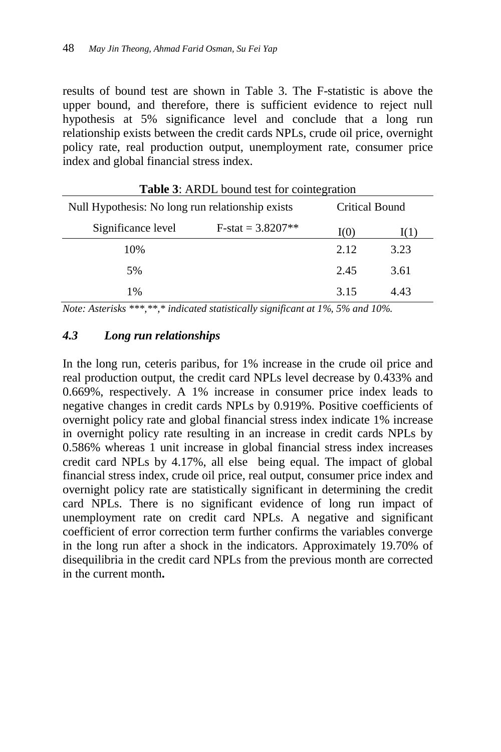results of bound test are shown in Table 3. The F-statistic is above the upper bound, and therefore, there is sufficient evidence to reject null hypothesis at 5% significance level and conclude that a long run relationship exists between the credit cards NPLs, crude oil price, overnight policy rate, real production output, unemployment rate, consumer price index and global financial stress index.

| <b>Table 5.</b> ARDL bound lest for connegration |                     |      |                |  |
|--------------------------------------------------|---------------------|------|----------------|--|
| Null Hypothesis: No long run relationship exists |                     |      | Critical Bound |  |
| Significance level                               | $F-stat = 3.8207**$ | I(0) | 1(1)           |  |
| 10%                                              |                     | 2.12 | 3.23           |  |
| 5%                                               |                     | 2.45 | 3.61           |  |
| $1\%$                                            |                     | 3.15 | 4.43           |  |

Table 3: ARDI bound test for cointegration

*Note: Asterisks \*\*\*,\*\*,\* indicated statistically significant at 1%, 5% and 10%.*

### *4.3 Long run relationships*

In the long run, ceteris paribus, for 1% increase in the crude oil price and real production output, the credit card NPLs level decrease by 0.433% and 0.669%, respectively. A 1% increase in consumer price index leads to negative changes in credit cards NPLs by 0.919%. Positive coefficients of overnight policy rate and global financial stress index indicate 1% increase in overnight policy rate resulting in an increase in credit cards NPLs by 0.586% whereas 1 unit increase in global financial stress index increases credit card NPLs by 4.17%, all else being equal. The impact of global financial stress index, crude oil price, real output, consumer price index and overnight policy rate are statistically significant in determining the credit card NPLs. There is no significant evidence of long run impact of unemployment rate on credit card NPLs. A negative and significant coefficient of error correction term further confirms the variables converge in the long run after a shock in the indicators. Approximately 19.70% of disequilibria in the credit card NPLs from the previous month are corrected in the current month**.**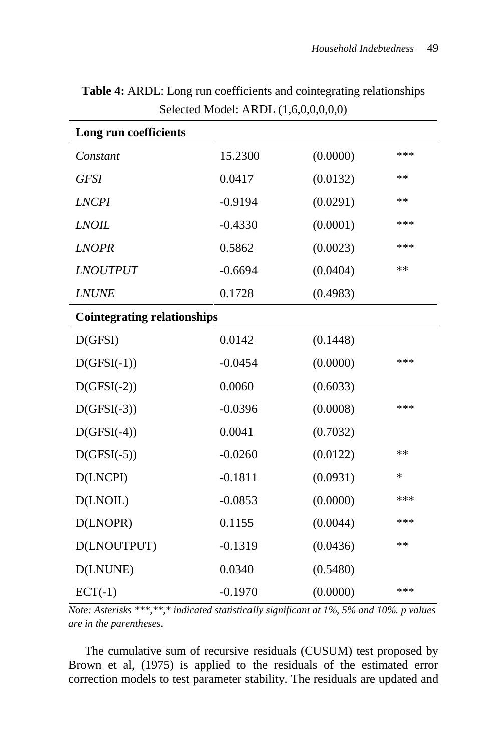| Long run coefficients              |           |          |       |  |  |
|------------------------------------|-----------|----------|-------|--|--|
| Constant                           | 15.2300   | (0.0000) | $***$ |  |  |
| <b>GFSI</b>                        | 0.0417    | (0.0132) | $**$  |  |  |
| <b>LNCPI</b>                       | $-0.9194$ | (0.0291) | $**$  |  |  |
| <b>LNOIL</b>                       | $-0.4330$ | (0.0001) | ***   |  |  |
| <b>LNOPR</b>                       | 0.5862    | (0.0023) | ***   |  |  |
| <i><b>LNOUTPUT</b></i>             | $-0.6694$ | (0.0404) | $**$  |  |  |
| <b>LNUNE</b>                       | 0.1728    | (0.4983) |       |  |  |
| <b>Cointegrating relationships</b> |           |          |       |  |  |
| D(GFSI)                            | 0.0142    | (0.1448) |       |  |  |
| $D(GFSI(-1))$                      | $-0.0454$ | (0.0000) | ***   |  |  |
| $D(GFSI(-2))$                      | 0.0060    | (0.6033) |       |  |  |
| $D(GFSI(-3))$                      | $-0.0396$ | (0.0008) | $***$ |  |  |
| $D(GFSI(-4))$                      | 0.0041    | (0.7032) |       |  |  |
| $D(GFSI(-5))$                      | $-0.0260$ | (0.0122) | $**$  |  |  |
| D(LNCPI)                           | $-0.1811$ | (0.0931) | *     |  |  |
| D(LNOIL)                           | $-0.0853$ | (0.0000) | ***   |  |  |
| D(LNOPR)                           | 0.1155    | (0.0044) | ***   |  |  |
| D(LNOUTPUT)                        | $-0.1319$ | (0.0436) | $**$  |  |  |
| D(LNUNE)                           | 0.0340    | (0.5480) |       |  |  |
| $ECT(-1)$                          | $-0.1970$ | (0.0000) | $***$ |  |  |

**Table 4:** ARDL: Long run coefficients and cointegrating relationships Selected Model: ARDL (1,6,0,0,0,0,0)

*Note: Asterisks \*\*\*,\*\*,\* indicated statistically significant at 1%, 5% and 10%. p values are in the parentheses.*

The cumulative sum of recursive residuals (CUSUM) test proposed by Brown et al, (1975) is applied to the residuals of the estimated error correction models to test parameter stability. The residuals are updated and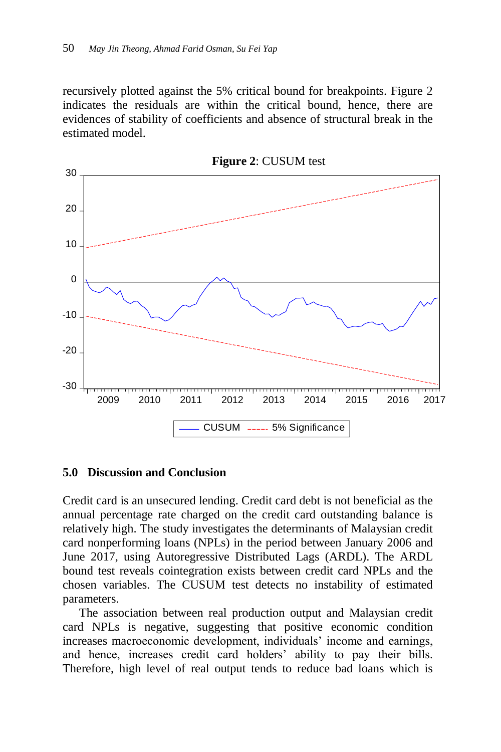recursively plotted against the 5% critical bound for breakpoints. Figure 2 indicates the residuals are within the critical bound, hence, there are evidences of stability of coefficients and absence of structural break in the estimated model.



**Figure 2**: CUSUM test

#### **5.0 Discussion and Conclusion**

Credit card is an unsecured lending. Credit card debt is not beneficial as the annual percentage rate charged on the credit card outstanding balance is relatively high. The study investigates the determinants of Malaysian credit card nonperforming loans (NPLs) in the period between January 2006 and June 2017, using Autoregressive Distributed Lags (ARDL). The ARDL bound test reveals cointegration exists between credit card NPLs and the chosen variables. The CUSUM test detects no instability of estimated parameters.

The association between real production output and Malaysian credit card NPLs is negative, suggesting that positive economic condition increases macroeconomic development, individuals' income and earnings, and hence, increases credit card holders' ability to pay their bills. Therefore, high level of real output tends to reduce bad loans which is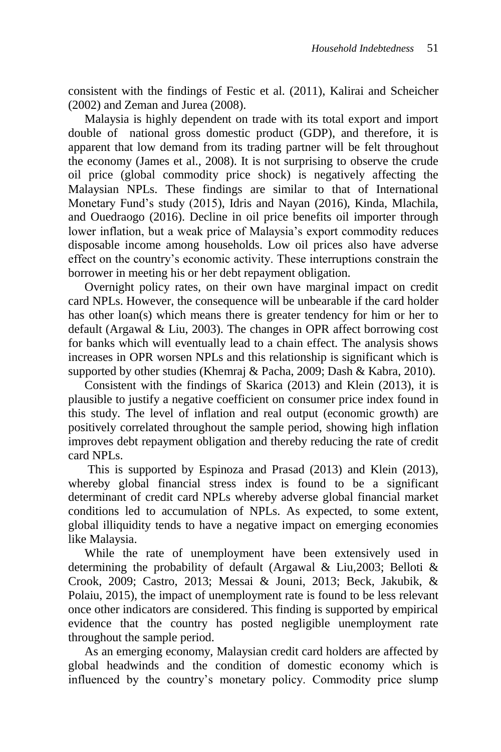consistent with the findings of Festic et al. (2011), Kalirai and Scheicher (2002) and Zeman and Jurea (2008).

Malaysia is highly dependent on trade with its total export and import double of national gross domestic product (GDP), and therefore, it is apparent that low demand from its trading partner will be felt throughout the economy (James et al., 2008). It is not surprising to observe the crude oil price (global commodity price shock) is negatively affecting the Malaysian NPLs. These findings are similar to that of International Monetary Fund's study (2015), Idris and Nayan (2016), Kinda, Mlachila, and Ouedraogo (2016). Decline in oil price benefits oil importer through lower inflation, but a weak price of Malaysia's export commodity reduces disposable income among households. Low oil prices also have adverse effect on the country's economic activity. These interruptions constrain the borrower in meeting his or her debt repayment obligation.

Overnight policy rates, on their own have marginal impact on credit card NPLs. However, the consequence will be unbearable if the card holder has other loan(s) which means there is greater tendency for him or her to default (Argawal & Liu, 2003). The changes in OPR affect borrowing cost for banks which will eventually lead to a chain effect. The analysis shows increases in OPR worsen NPLs and this relationship is significant which is supported by other studies (Khemraj & Pacha, 2009; Dash & Kabra, 2010).

Consistent with the findings of Skarica (2013) and Klein (2013), it is plausible to justify a negative coefficient on consumer price index found in this study. The level of inflation and real output (economic growth) are positively correlated throughout the sample period, showing high inflation improves debt repayment obligation and thereby reducing the rate of credit card NPLs.

This is supported by Espinoza and Prasad (2013) and Klein (2013), whereby global financial stress index is found to be a significant determinant of credit card NPLs whereby adverse global financial market conditions led to accumulation of NPLs. As expected, to some extent, global illiquidity tends to have a negative impact on emerging economies like Malaysia.

While the rate of unemployment have been extensively used in determining the probability of default (Argawal & Liu,2003; Belloti & Crook, 2009; Castro, 2013; Messai & Jouni, 2013; Beck, Jakubik, & Polaiu, 2015), the impact of unemployment rate is found to be less relevant once other indicators are considered. This finding is supported by empirical evidence that the country has posted negligible unemployment rate throughout the sample period.

As an emerging economy, Malaysian credit card holders are affected by global headwinds and the condition of domestic economy which is influenced by the country's monetary policy. Commodity price slump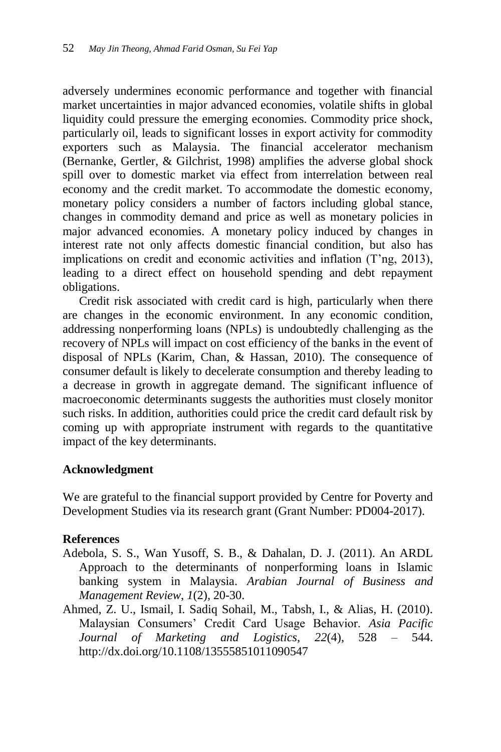adversely undermines economic performance and together with financial market uncertainties in major advanced economies, volatile shifts in global liquidity could pressure the emerging economies. Commodity price shock, particularly oil, leads to significant losses in export activity for commodity exporters such as Malaysia. The financial accelerator mechanism (Bernanke, Gertler, & Gilchrist, 1998) amplifies the adverse global shock spill over to domestic market via effect from interrelation between real economy and the credit market. To accommodate the domestic economy, monetary policy considers a number of factors including global stance, changes in commodity demand and price as well as monetary policies in major advanced economies. A monetary policy induced by changes in interest rate not only affects domestic financial condition, but also has implications on credit and economic activities and inflation (T'ng, 2013), leading to a direct effect on household spending and debt repayment obligations.

Credit risk associated with credit card is high, particularly when there are changes in the economic environment. In any economic condition, addressing nonperforming loans (NPLs) is undoubtedly challenging as the recovery of NPLs will impact on cost efficiency of the banks in the event of disposal of NPLs (Karim, Chan, & Hassan, 2010). The consequence of consumer default is likely to decelerate consumption and thereby leading to a decrease in growth in aggregate demand. The significant influence of macroeconomic determinants suggests the authorities must closely monitor such risks. In addition, authorities could price the credit card default risk by coming up with appropriate instrument with regards to the quantitative impact of the key determinants.

#### **Acknowledgment**

We are grateful to the financial support provided by Centre for Poverty and Development Studies via its research grant (Grant Number: PD004-2017).

#### **References**

- Adebola, S. S., Wan Yusoff, S. B., & Dahalan, D. J. (2011). An ARDL Approach to the determinants of nonperforming loans in Islamic banking system in Malaysia. *Arabian Journal of Business and Management Review*, *1*(2), 20-30.
- Ahmed, Z. U., Ismail, I. Sadiq Sohail, M., Tabsh, I., & Alias, H. (2010). Malaysian Consumers' Credit Card Usage Behavior. *Asia Pacific Journal of Marketing and Logistics*, *22*(4), 528 – 544. <http://dx.doi.org/10.1108/13555851011090547>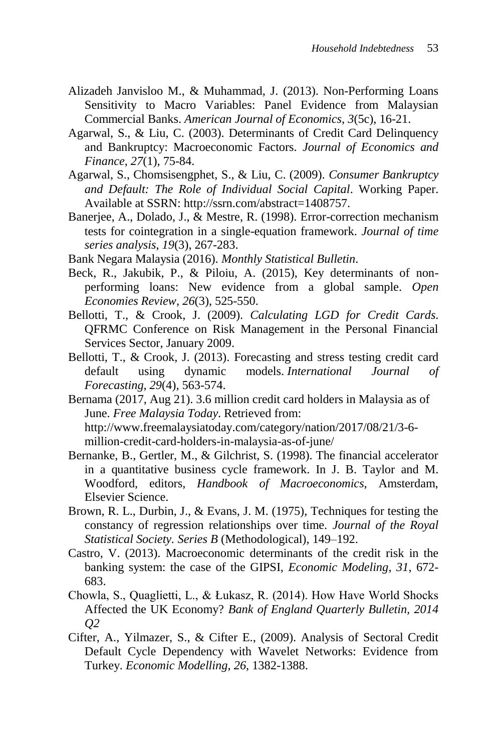- Alizadeh Janvisloo M., & Muhammad, J. (2013). Non-Performing Loans Sensitivity to Macro Variables: Panel Evidence from Malaysian Commercial Banks. *American Journal of Economics*, *3*(5c), 16-21.
- Agarwal, S., & Liu, C. (2003). Determinants of Credit Card Delinquency and Bankruptcy: Macroeconomic Factors. *Journal of Economics and Finance*, *27*(1), 75-84.
- Agarwal, S., Chomsisengphet, S., & Liu, C. (2009). *Consumer Bankruptcy and Default: The Role of Individual Social Capital*. Working Paper. Available at SSRN: http://ssrn.com/abstract=1408757.
- Banerjee, A., Dolado, J., & Mestre, R. (1998). Error-correction mechanism tests for cointegration in a single-equation framework. *Journal of time series analysis*, *19*(3), 267-283.
- Bank Negara Malaysia (2016). *Monthly Statistical Bulletin*.
- Beck, R., Jakubik, P., & Piloiu, A. (2015), Key determinants of nonperforming loans: New evidence from a global sample. *Open Economies Review*, *26*(3), 525-550.
- Bellotti, T., & Crook, J. (2009). *Calculating LGD for Credit Cards*. QFRMC Conference on Risk Management in the Personal Financial Services Sector, January 2009.
- Bellotti, T., & Crook, J. (2013). Forecasting and stress testing credit card default using dynamic models. *International Journal of Forecasting*, *29*(4), 563-574.
- Bernama (2017, Aug 21). 3.6 million credit card holders in Malaysia as of June. *Free Malaysia Today*. Retrieved from: http://www.freemalaysiatoday.com/category/nation/2017/08/21/3-6 million-credit-card-holders-in-malaysia-as-of-june/
- Bernanke, B., Gertler, M., & Gilchrist, S. (1998). The financial accelerator in a quantitative business cycle framework. In J. B. Taylor and M. Woodford, editors, *Handbook of Macroeconomics*, Amsterdam, Elsevier Science.
- Brown, R. L., Durbin, J., & Evans, J. M. (1975), Techniques for testing the constancy of regression relationships over time. *Journal of the Royal Statistical Society. Series B* (Methodological), 149–192.
- Castro, V. (2013). Macroeconomic determinants of the credit risk in the banking system: the case of the GIPSI, *Economic Modeling*, *31*, 672- 683.
- Chowla, S., Quaglietti, L., & Łukasz, R. (2014). How Have World Shocks Affected the UK Economy? *Bank of England Quarterly Bulletin, 2014 Q2*
- Cifter, A., Yilmazer, S., & Cifter E., (2009). Analysis of Sectoral Credit Default Cycle Dependency with Wavelet Networks: Evidence from Turkey. *Economic Modelling*, *26*, 1382-1388.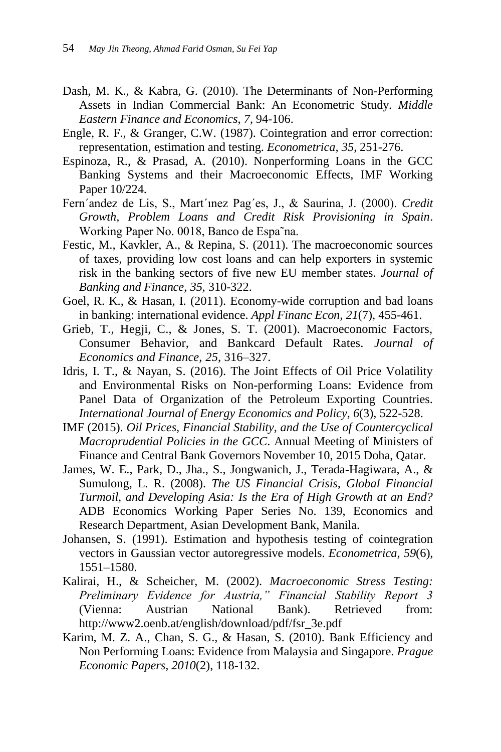- Dash, M. K., & Kabra, G. (2010). The Determinants of Non-Performing Assets in Indian Commercial Bank: An Econometric Study. *Middle Eastern Finance and Economics*, *7*, 94-106.
- Engle, R. F., & Granger, C.W. (1987). Cointegration and error correction: representation, estimation and testing. *Econometrica, 35*, 251-276.
- Espinoza, R., & Prasad, A. (2010). Nonperforming Loans in the GCC Banking Systems and their Macroeconomic Effects, IMF Working Paper 10/224.
- Fern´andez de Lis, S., Mart´ınez Pag´es, J., & Saurina, J. (2000). *Credit Growth, Problem Loans and Credit Risk Provisioning in Spain*. Working Paper No. 0018, Banco de Espa˜na.
- Festic, M., Kavkler, A., & Repina, S. (2011). The macroeconomic sources of taxes, providing low cost loans and can help exporters in systemic risk in the banking sectors of five new EU member states. *Journal of Banking and Finance*, *35*, 310-322.
- Goel, R. K., & Hasan, I. (2011). Economy-wide corruption and bad loans in banking: international evidence. *Appl Financ Econ, 21*(7), 455-461.
- Grieb, T., Hegji, C., & Jones, S. T. (2001). Macroeconomic Factors, Consumer Behavior, and Bankcard Default Rates. *Journal of Economics and Finance, 25*, 316–327.
- Idris, I. T., & Nayan, S. (2016). The Joint Effects of Oil Price Volatility and Environmental Risks on Non-performing Loans: Evidence from Panel Data of Organization of the Petroleum Exporting Countries. *International Journal of Energy Economics and Policy*, *6*(3), 522-528.
- IMF (2015). *Oil Prices, Financial Stability, and the Use of Countercyclical Macroprudential Policies in the GCC*. Annual Meeting of Ministers of Finance and Central Bank Governors November 10, 2015 Doha, Qatar.
- James, W. E., Park, D., Jha., S., Jongwanich, J., Terada-Hagiwara, A., & Sumulong, L. R. (2008). *The US Financial Crisis, Global Financial Turmoil, and Developing Asia: Is the Era of High Growth at an End?* ADB Economics Working Paper Series No. 139, Economics and Research Department, Asian Development Bank, Manila.
- Johansen, S. (1991). Estimation and hypothesis testing of cointegration vectors in Gaussian vector autoregressive models. *Econometrica*, *59*(6), 1551–1580.
- Kalirai, H., & Scheicher, M. (2002). *Macroeconomic Stress Testing: Preliminary Evidence for Austria," Financial Stability Report 3* (Vienna: Austrian National Bank). Retrieved from: http://www2.oenb.at/english/download/pdf/fsr\_3e.pdf
- Karim, M. Z. A., Chan, S. G., & Hasan, S. (2010). Bank Efficiency and Non Performing Loans: Evidence from Malaysia and Singapore. *Prague Economic Papers*, *2010*(2), 118-132.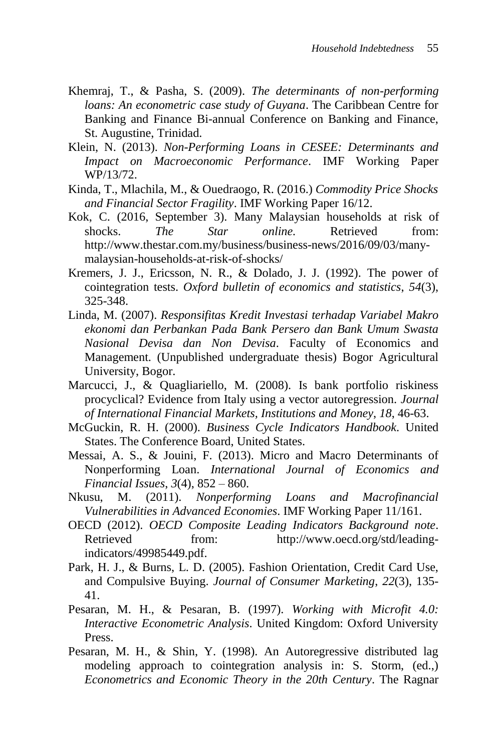- Khemraj, T., & Pasha, S. (2009). *The determinants of non-performing loans: An econometric case study of Guyana*. The Caribbean Centre for Banking and Finance Bi-annual Conference on Banking and Finance, St. Augustine, Trinidad.
- Klein, N. (2013). *Non-Performing Loans in CESEE: Determinants and Impact on Macroeconomic Performance*. IMF Working Paper WP/13/72.
- Kinda, T., Mlachila, M., & Ouedraogo, R. (2016.) *Commodity Price Shocks and Financial Sector Fragility*. IMF Working Paper 16/12.
- Kok, C. (2016, September 3). Many Malaysian households at risk of shocks. *The Star online*. Retrieved from: http://www.thestar.com.my/business/business-news/2016/09/03/manymalaysian-households-at-risk-of-shocks/
- Kremers, J. J., Ericsson, N. R., & Dolado, J. J. (1992). The power of cointegration tests. *Oxford bulletin of economics and statistics*, *54*(3), 325-348.
- Linda, M. (2007). *Responsifitas Kredit Investasi terhadap Variabel Makro ekonomi dan Perbankan Pada Bank Persero dan Bank Umum Swasta Nasional Devisa dan Non Devisa*. Faculty of Economics and Management. (Unpublished undergraduate thesis) Bogor Agricultural University, Bogor.
- Marcucci, J., & Quagliariello, M. (2008). Is bank portfolio riskiness procyclical? Evidence from Italy using a vector autoregression. *Journal of International Financial Markets, Institutions and Money*, *18*, 46-63.
- McGuckin, R. H. (2000). *Business Cycle Indicators Handbook*. United States. The Conference Board, United States.
- Messai, A. S., & Jouini, F. (2013). Micro and Macro Determinants of Nonperforming Loan. *International Journal of Economics and Financial Issues*, *3*(4), 852 – 860.
- Nkusu, M. (2011). *Nonperforming Loans and Macrofinancial Vulnerabilities in Advanced Economies*. IMF Working Paper 11/161.
- OECD (2012). *OECD Composite Leading Indicators Background note*. Retrieved from: http://www.oecd.org/std/leadingindicators/49985449.pdf.
- Park, H. J., & Burns, L. D. (2005). Fashion Orientation, Credit Card Use, and Compulsive Buying. *Journal of Consumer Marketing*, *22*(3), 135- 41.
- Pesaran, M. H., & Pesaran, B. (1997). *Working with Microfit 4.0: Interactive Econometric Analysis*. United Kingdom: Oxford University Press.
- Pesaran, M. H., & Shin, Y. (1998). An Autoregressive distributed lag modeling approach to cointegration analysis in: S. Storm, (ed.,) *Econometrics and Economic Theory in the 20th Century*. The Ragnar